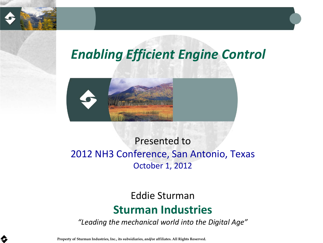

## *Enabling Efficient Engine Control*



#### Presented to 2012 NH3 Conference, San Antonio, Texas October 1, 2012

## Eddie Sturman **Sturman Industries**

*"Leading the mechanical world into the Digital Age"*

Property of Sturman Industries, Inc., its subsidiaries, and/or affiliates. All Rights Reserved.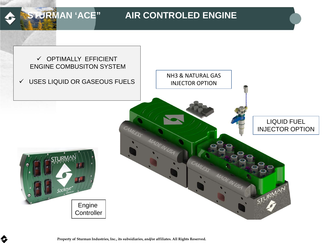### **STURMAN 'ACE"** AIR CONTROLED ENGINE



Property of Sturman Industries, Inc., its subsidiaries, and/or affiliates. All Rights Reserved.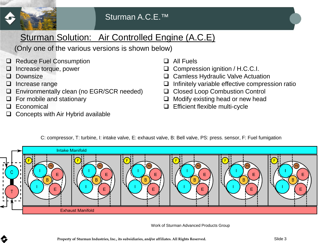

#### Sturman Solution: Air Controlled Engine (A.C.E)

(Only one of the various versions is shown below)

- □ Reduce Fuel Consumption
- Increase torque, power
- **Downsize**
- $\Box$  Increase range
- Environmentally clean (no EGR/SCR needed)
- For mobile and stationary
- D Economical
- Concepts with Air Hybrid available
- □ All Fuels
- Compression ignition / H.C.C.I.
- □ Camless Hydraulic Valve Actuation
- $\Box$  Infinitely variable effective compression ratio
- □ Closed Loop Combustion Control
- $\Box$  Modify existing head or new head
- **Efficient flexible multi-cycle**



C: compressor, T: turbine, I: intake valve, E: exhaust valve, B: Bell valve, PS: press. sensor, F: Fuel fumigation

Work of Sturman Advanced Products Group

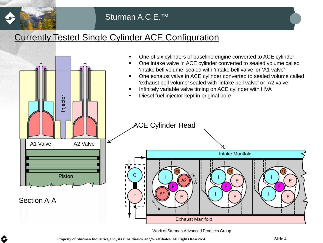

#### Sturman A.C.E.™

#### Currently Tested Single Cylinder ACE Configuration



Work of Sturman Advanced Products Group

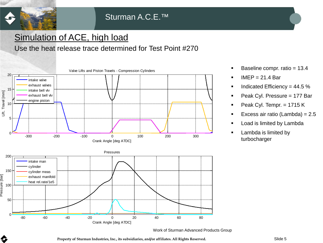

\$

#### Simulation of ACE, high load

#### Use the heat release trace determined for Test Point #270



- Baseline compr. ratio = 13.4
- $I$  IMEP = 21.4 Bar
- $\blacksquare$  Indicated Efficiency = 44.5 %
- Peak Cyl. Pressure =  $177$  Bar
- Peak Cyl. Tempr.  $= 1715 K$
- Excess air ratio (Lambda) = 2.5
- Load is limited by Lambda
- **Lambda is limited by** turbocharger

Work of Sturman Advanced Products Group